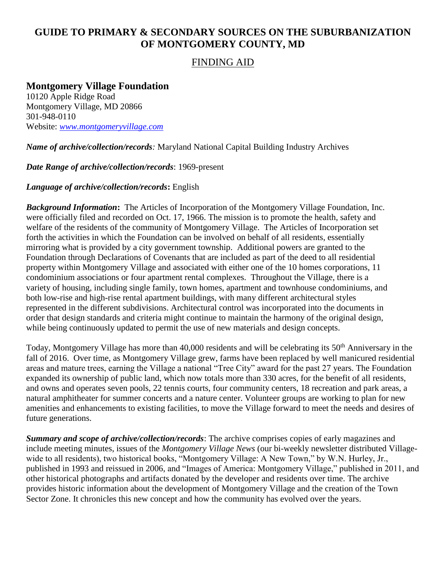# **GUIDE TO PRIMARY & SECONDARY SOURCES ON THE SUBURBANIZATION OF MONTGOMERY COUNTY, MD**

# FINDING AID

# **Montgomery Village Foundation**

10120 Apple Ridge Road Montgomery Village, MD 20866 301-948-0110 Website: *[www.montgomeryvillage.com](http://www.montgomeryvillage.com/)*

*Name of archive/collection/records:* Maryland National Capital Building Industry Archives

*Date Range of archive/collection/records*: 1969-present

#### *Language of archive/collection/records***:** English

*Background Information***:** The Articles of Incorporation of the Montgomery Village Foundation, Inc. were officially filed and recorded on Oct. 17, 1966. The mission is to promote the health, safety and welfare of the residents of the community of Montgomery Village. The Articles of Incorporation set forth the activities in which the Foundation can be involved on behalf of all residents, essentially mirroring what is provided by a city government township. Additional powers are granted to the Foundation through Declarations of Covenants that are included as part of the deed to all residential property within Montgomery Village and associated with either one of the 10 homes corporations, 11 condominium associations or four apartment rental complexes. Throughout the Village, there is a variety of housing, including single family, town homes, apartment and townhouse condominiums, and both low-rise and high-rise rental apartment buildings, with many different architectural styles represented in the different subdivisions. Architectural control was incorporated into the documents in order that design standards and criteria might continue to maintain the harmony of the original design, while being continuously updated to permit the use of new materials and design concepts.

Today, Montgomery Village has more than 40,000 residents and will be celebrating its 50<sup>th</sup> Anniversary in the fall of 2016. Over time, as Montgomery Village grew, farms have been replaced by well manicured residential areas and mature trees, earning the Village a national "Tree City" award for the past 27 years. The Foundation expanded its ownership of public land, which now totals more than 330 acres, for the benefit of all residents, and owns and operates seven pools, 22 tennis courts, four community centers, 18 recreation and park areas, a natural amphitheater for summer concerts and a nature center. Volunteer groups are working to plan for new amenities and enhancements to existing facilities, to move the Village forward to meet the needs and desires of future generations.

*Summary and scope of archive/collection/records*: The archive comprises copies of early magazines and include meeting minutes, issues of the *Montgomery Village News* (our bi-weekly newsletter distributed Villagewide to all residents), two historical books, "Montgomery Village: A New Town," by W.N. Hurley, Jr., published in 1993 and reissued in 2006, and "Images of America: Montgomery Village," published in 2011, and other historical photographs and artifacts donated by the developer and residents over time. The archive provides historic information about the development of Montgomery Village and the creation of the Town Sector Zone. It chronicles this new concept and how the community has evolved over the years.